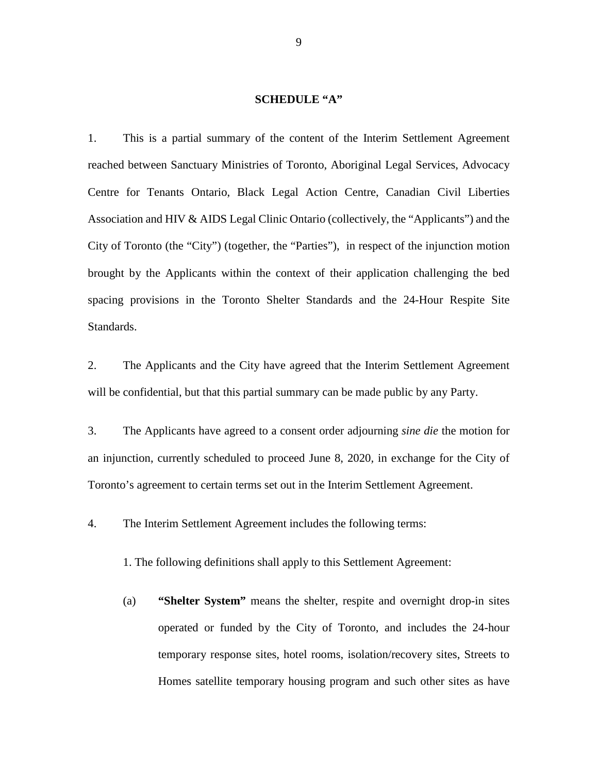## **SCHEDULE "A"**

1. This is a partial summary of the content of the Interim Settlement Agreement reached between Sanctuary Ministries of Toronto, Aboriginal Legal Services, Advocacy Centre for Tenants Ontario, Black Legal Action Centre, Canadian Civil Liberties Association and HIV & AIDS Legal Clinic Ontario (collectively, the "Applicants") and the City of Toronto (the "City") (together, the "Parties"), in respect of the injunction motion brought by the Applicants within the context of their application challenging the bed spacing provisions in the Toronto Shelter Standards and the 24-Hour Respite Site Standards.

2. The Applicants and the City have agreed that the Interim Settlement Agreement will be confidential, but that this partial summary can be made public by any Party.

3. The Applicants have agreed to a consent order adjourning *sine die* the motion for an injunction, currently scheduled to proceed June 8, 2020*,* in exchange for the City of Toronto's agreement to certain terms set out in the Interim Settlement Agreement.

4. The Interim Settlement Agreement includes the following terms:

1. The following definitions shall apply to this Settlement Agreement:

(a) **"Shelter System"** means the shelter, respite and overnight drop-in sites operated or funded by the City of Toronto, and includes the 24-hour temporary response sites, hotel rooms, isolation/recovery sites, Streets to Homes satellite temporary housing program and such other sites as have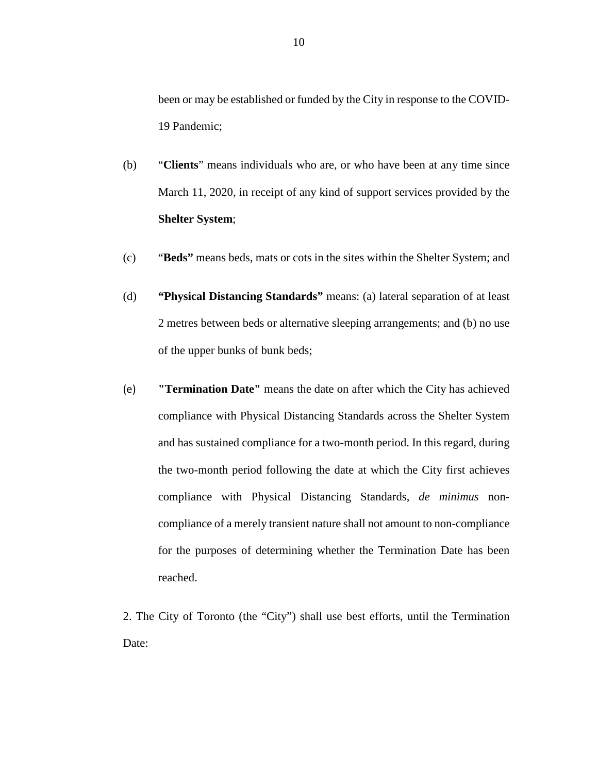been or may be established or funded by the City in response to the COVID-19 Pandemic;

- (b) "**Clients**" means individuals who are, or who have been at any time since March 11, 2020, in receipt of any kind of support services provided by the **Shelter System**;
- (c) "**Beds"** means beds, mats or cots in the sites within the Shelter System; and
- (d) **"Physical Distancing Standards"** means: (a) lateral separation of at least 2 metres between beds or alternative sleeping arrangements; and (b) no use of the upper bunks of bunk beds;
- (e) **"Termination Date"** means the date on after which the City has achieved compliance with Physical Distancing Standards across the Shelter System and has sustained compliance for a two-month period. In this regard, during the two-month period following the date at which the City first achieves compliance with Physical Distancing Standards, *de minimus* noncompliance of a merely transient nature shall not amount to non-compliance for the purposes of determining whether the Termination Date has been reached.

2. The City of Toronto (the "City") shall use best efforts, until the Termination Date: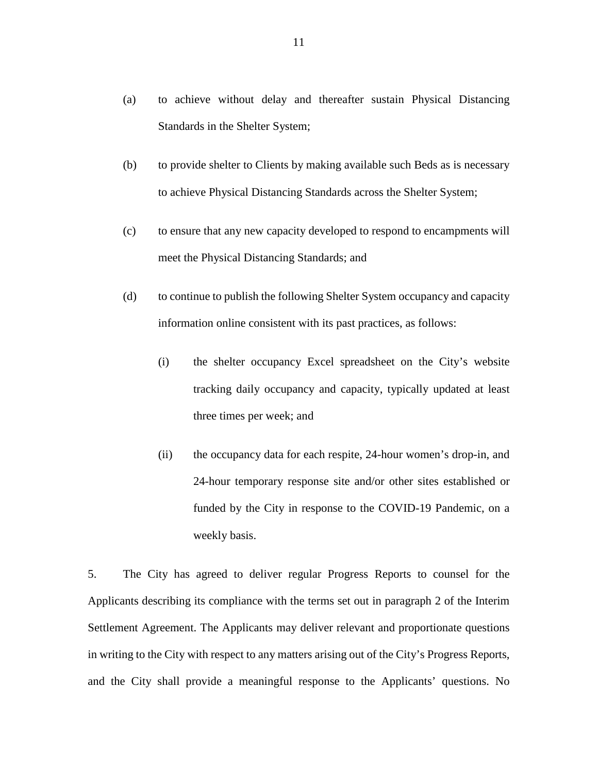- (a) to achieve without delay and thereafter sustain Physical Distancing Standards in the Shelter System;
- (b) to provide shelter to Clients by making available such Beds as is necessary to achieve Physical Distancing Standards across the Shelter System;
- (c) to ensure that any new capacity developed to respond to encampments will meet the Physical Distancing Standards; and
- (d) to continue to publish the following Shelter System occupancy and capacity information online consistent with its past practices, as follows:
	- (i) the shelter occupancy Excel spreadsheet on the City's website tracking daily occupancy and capacity, typically updated at least three times per week; and
	- (ii) the occupancy data for each respite, 24-hour women's drop-in, and 24-hour temporary response site and/or other sites established or funded by the City in response to the COVID-19 Pandemic, on a weekly basis.

5. The City has agreed to deliver regular Progress Reports to counsel for the Applicants describing its compliance with the terms set out in paragraph 2 of the Interim Settlement Agreement. The Applicants may deliver relevant and proportionate questions in writing to the City with respect to any matters arising out of the City's Progress Reports, and the City shall provide a meaningful response to the Applicants' questions. No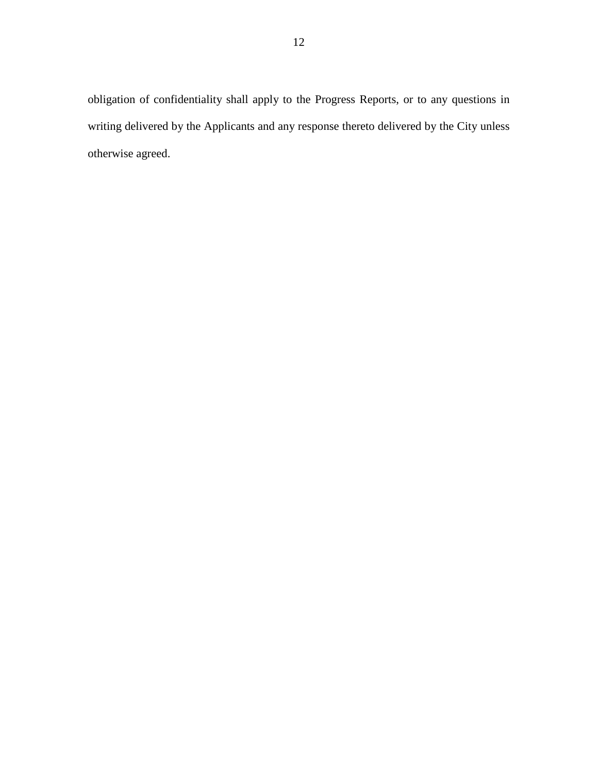obligation of confidentiality shall apply to the Progress Reports, or to any questions in writing delivered by the Applicants and any response thereto delivered by the City unless otherwise agreed.